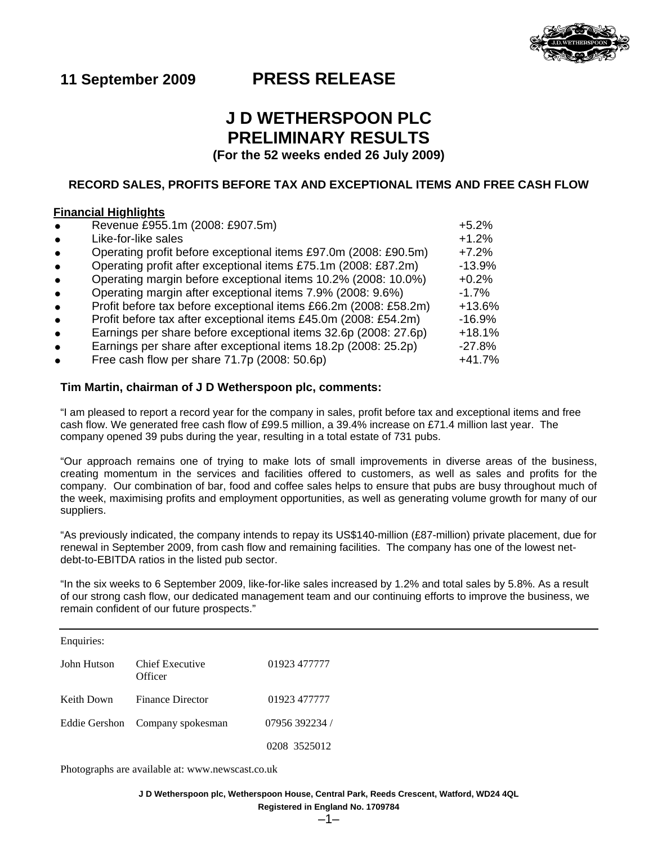

# **11 September 2009 PRESS RELEASE**

# **J D WETHERSPOON PLC PRELIMINARY RESULTS**

**(For the 52 weeks ended 26 July 2009)** 

# **RECORD SALES, PROFITS BEFORE TAX AND EXCEPTIONAL ITEMS AND FREE CASH FLOW**

# **Financial Highlights**

| Revenue £955.1m (2008: £907.5m)<br>$\bullet$                                  | $+5.2%$  |
|-------------------------------------------------------------------------------|----------|
| Like-for-like sales<br>$\bullet$                                              | $+1.2%$  |
| Operating profit before exceptional items £97.0m (2008: £90.5m)<br>$\bullet$  | $+7.2%$  |
| Operating profit after exceptional items £75.1m (2008: £87.2m)<br>$\bullet$   | $-13.9%$ |
| Operating margin before exceptional items 10.2% (2008: 10.0%)<br>$\bullet$    | $+0.2%$  |
| Operating margin after exceptional items 7.9% (2008: 9.6%)<br>$\bullet$       | $-1.7%$  |
| Profit before tax before exceptional items £66.2m (2008: £58.2m)<br>$\bullet$ | $+13.6%$ |
| Profit before tax after exceptional items £45.0m (2008: £54.2m)<br>$\bullet$  | $-16.9%$ |
| Earnings per share before exceptional items 32.6p (2008: 27.6p)<br>$\bullet$  | $+18.1%$ |
| Earnings per share after exceptional items 18.2p (2008: 25.2p)<br>$\bullet$   | $-27.8%$ |
| Free cash flow per share 71.7p (2008: 50.6p)                                  | $+41.7%$ |

### **Tim Martin, chairman of J D Wetherspoon plc, comments:**

"I am pleased to report a record year for the company in sales, profit before tax and exceptional items and free cash flow. We generated free cash flow of £99.5 million, a 39.4% increase on £71.4 million last year. The company opened 39 pubs during the year, resulting in a total estate of 731 pubs.

"Our approach remains one of trying to make lots of small improvements in diverse areas of the business, creating momentum in the services and facilities offered to customers, as well as sales and profits for the company. Our combination of bar, food and coffee sales helps to ensure that pubs are busy throughout much of the week, maximising profits and employment opportunities, as well as generating volume growth for many of our suppliers.

"As previously indicated, the company intends to repay its US\$140-million (£87-million) private placement, due for renewal in September 2009, from cash flow and remaining facilities. The company has one of the lowest netdebt-to-EBITDA ratios in the listed pub sector.

"In the six weeks to 6 September 2009, like-for-like sales increased by 1.2% and total sales by 5.8%. As a result of our strong cash flow, our dedicated management team and our continuing efforts to improve the business, we remain confident of our future prospects."

| Enquiries:    |                            |                |
|---------------|----------------------------|----------------|
| John Hutson   | Chief Executive<br>Officer | 01923 477777   |
| Keith Down    | <b>Finance Director</b>    | 01923 477777   |
| Eddie Gershon | Company spokesman          | 07956 392234 / |
|               |                            | 0208 3525012   |

Photographs are available at: www.newscast.co.uk

**J D Wetherspoon plc, Wetherspoon House, Central Park, Reeds Crescent, Watford, WD24 4QL** 

**Registered in England No. 1709784**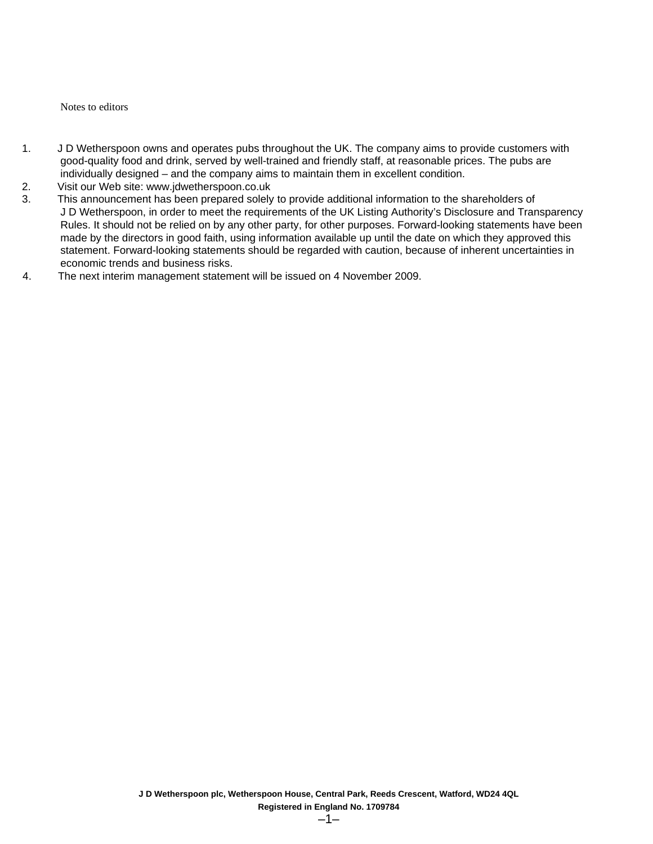Notes to editors

- 1. J D Wetherspoon owns and operates pubs throughout the UK. The company aims to provide customers with good-quality food and drink, served by well-trained and friendly staff, at reasonable prices. The pubs are individually designed – and the company aims to maintain them in excellent condition.
- 2. Visit our Web site: www.jdwetherspoon.co.uk
- 3. This announcement has been prepared solely to provide additional information to the shareholders of J D Wetherspoon, in order to meet the requirements of the UK Listing Authority's Disclosure and Transparency Rules. It should not be relied on by any other party, for other purposes. Forward-looking statements have been made by the directors in good faith, using information available up until the date on which they approved this statement. Forward-looking statements should be regarded with caution, because of inherent uncertainties in economic trends and business risks.
- 4. The next interim management statement will be issued on 4 November 2009.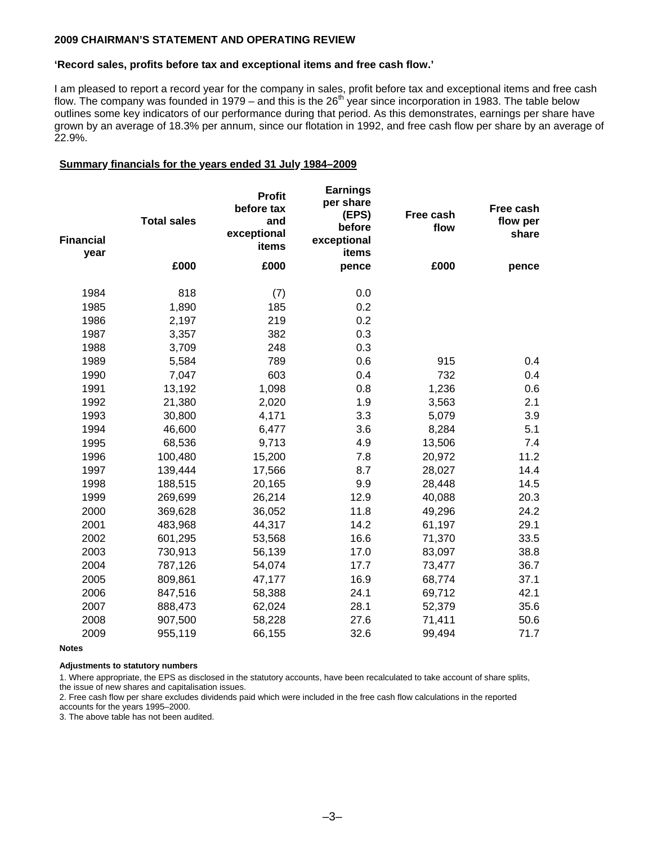### **2009 CHAIRMAN'S STATEMENT AND OPERATING REVIEW**

### **'Record sales, profits before tax and exceptional items and free cash flow.'**

I am pleased to report a record year for the company in sales, profit before tax and exceptional items and free cash flow. The company was founded in 1979 – and this is the  $26<sup>th</sup>$  year since incorporation in 1983. The table below outlines some key indicators of our performance during that period. As this demonstrates, earnings per share have grown by an average of 18.3% per annum, since our flotation in 1992, and free cash flow per share by an average of 22.9%.

### **Summary financials for the years ended 31 July 1984–2009**

| <b>Financial</b><br>year | <b>Total sales</b> | <b>Profit</b><br>before tax<br>and<br>exceptional<br>items | <b>Earnings</b><br>per share<br>(EPS)<br>before<br>exceptional<br>items | Free cash<br>flow | Free cash<br>flow per<br>share |
|--------------------------|--------------------|------------------------------------------------------------|-------------------------------------------------------------------------|-------------------|--------------------------------|
|                          | £000               | £000                                                       | pence                                                                   | £000              | pence                          |
| 1984                     | 818                | (7)                                                        | 0.0                                                                     |                   |                                |
| 1985                     | 1,890              | 185                                                        | 0.2                                                                     |                   |                                |
| 1986                     | 2,197              | 219                                                        | 0.2                                                                     |                   |                                |
| 1987                     | 3,357              | 382                                                        | 0.3                                                                     |                   |                                |
| 1988                     | 3,709              | 248                                                        | 0.3                                                                     |                   |                                |
| 1989                     | 5,584              | 789                                                        | 0.6                                                                     | 915               | 0.4                            |
| 1990                     | 7,047              | 603                                                        | 0.4                                                                     | 732               | 0.4                            |
| 1991                     | 13,192             | 1,098                                                      | 0.8                                                                     | 1,236             | 0.6                            |
| 1992                     | 21,380             | 2,020                                                      | 1.9                                                                     | 3,563             | 2.1                            |
| 1993                     | 30,800             | 4,171                                                      | 3.3                                                                     | 5,079             | 3.9                            |
| 1994                     | 46,600             | 6,477                                                      | 3.6                                                                     | 8,284             | 5.1                            |
| 1995                     | 68,536             | 9,713                                                      | 4.9                                                                     | 13,506            | 7.4                            |
| 1996                     | 100,480            | 15,200                                                     | 7.8                                                                     | 20,972            | 11.2                           |
| 1997                     | 139,444            | 17,566                                                     | 8.7                                                                     | 28,027            | 14.4                           |
| 1998                     | 188,515            | 20,165                                                     | 9.9                                                                     | 28,448            | 14.5                           |
| 1999                     | 269,699            | 26,214                                                     | 12.9                                                                    | 40,088            | 20.3                           |
| 2000                     | 369,628            | 36,052                                                     | 11.8                                                                    | 49,296            | 24.2                           |
| 2001                     | 483,968            | 44,317                                                     | 14.2                                                                    | 61,197            | 29.1                           |
| 2002                     | 601,295            | 53,568                                                     | 16.6                                                                    | 71,370            | 33.5                           |
| 2003                     | 730,913            | 56,139                                                     | 17.0                                                                    | 83,097            | 38.8                           |
| 2004                     | 787,126            | 54,074                                                     | 17.7                                                                    | 73,477            | 36.7                           |
| 2005                     | 809,861            | 47,177                                                     | 16.9                                                                    | 68,774            | 37.1                           |
| 2006                     | 847,516            | 58,388                                                     | 24.1                                                                    | 69,712            | 42.1                           |
| 2007                     | 888,473            | 62,024                                                     | 28.1                                                                    | 52,379            | 35.6                           |
| 2008                     | 907,500            | 58,228                                                     | 27.6                                                                    | 71,411            | 50.6                           |
| 2009                     | 955,119            | 66,155                                                     | 32.6                                                                    | 99,494            | 71.7                           |

**Notes** 

**Adjustments to statutory numbers** 

1. Where appropriate, the EPS as disclosed in the statutory accounts, have been recalculated to take account of share splits, the issue of new shares and capitalisation issues.

2. Free cash flow per share excludes dividends paid which were included in the free cash flow calculations in the reported

accounts for the years 1995–2000.

3. The above table has not been audited.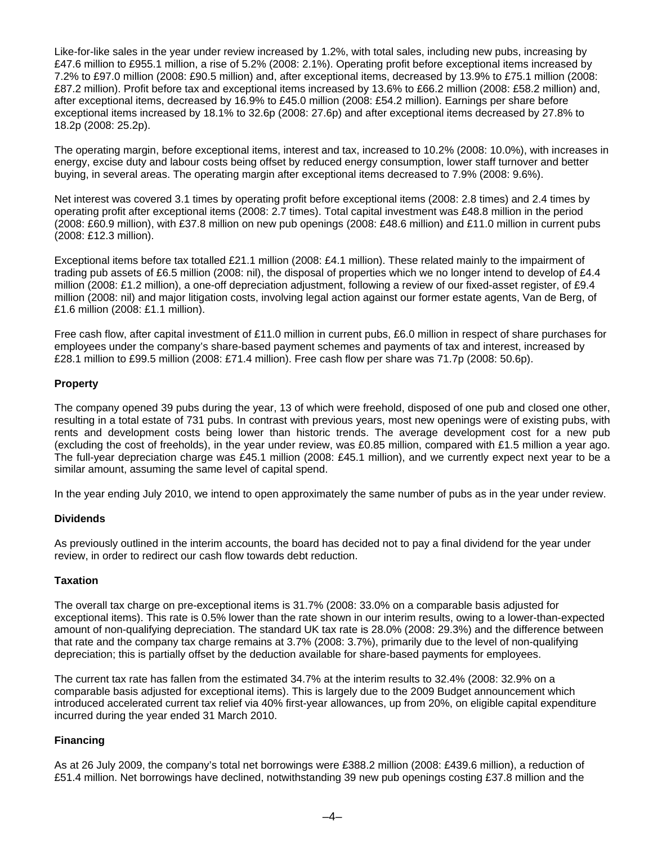Like-for-like sales in the year under review increased by 1.2%, with total sales, including new pubs, increasing by £47.6 million to £955.1 million, a rise of 5.2% (2008: 2.1%). Operating profit before exceptional items increased by 7.2% to £97.0 million (2008: £90.5 million) and, after exceptional items, decreased by 13.9% to £75.1 million (2008: £87.2 million). Profit before tax and exceptional items increased by 13.6% to £66.2 million (2008: £58.2 million) and, after exceptional items, decreased by 16.9% to £45.0 million (2008: £54.2 million). Earnings per share before exceptional items increased by 18.1% to 32.6p (2008: 27.6p) and after exceptional items decreased by 27.8% to 18.2p (2008: 25.2p).

The operating margin, before exceptional items, interest and tax, increased to 10.2% (2008: 10.0%), with increases in energy, excise duty and labour costs being offset by reduced energy consumption, lower staff turnover and better buying, in several areas. The operating margin after exceptional items decreased to 7.9% (2008: 9.6%).

Net interest was covered 3.1 times by operating profit before exceptional items (2008: 2.8 times) and 2.4 times by operating profit after exceptional items (2008: 2.7 times). Total capital investment was £48.8 million in the period (2008: £60.9 million), with £37.8 million on new pub openings (2008: £48.6 million) and £11.0 million in current pubs (2008: £12.3 million).

Exceptional items before tax totalled £21.1 million (2008: £4.1 million). These related mainly to the impairment of trading pub assets of £6.5 million (2008: nil), the disposal of properties which we no longer intend to develop of £4.4 million (2008: £1.2 million), a one-off depreciation adjustment, following a review of our fixed-asset register, of £9.4 million (2008: nil) and major litigation costs, involving legal action against our former estate agents, Van de Berg, of £1.6 million (2008: £1.1 million).

Free cash flow, after capital investment of £11.0 million in current pubs, £6.0 million in respect of share purchases for employees under the company's share-based payment schemes and payments of tax and interest, increased by £28.1 million to £99.5 million (2008: £71.4 million). Free cash flow per share was 71.7p (2008: 50.6p).

# **Property**

The company opened 39 pubs during the year, 13 of which were freehold, disposed of one pub and closed one other, resulting in a total estate of 731 pubs. In contrast with previous years, most new openings were of existing pubs, with rents and development costs being lower than historic trends. The average development cost for a new pub (excluding the cost of freeholds), in the year under review, was £0.85 million, compared with £1.5 million a year ago. The full-year depreciation charge was £45.1 million (2008: £45.1 million), and we currently expect next year to be a similar amount, assuming the same level of capital spend.

In the year ending July 2010, we intend to open approximately the same number of pubs as in the year under review.

# **Dividends**

As previously outlined in the interim accounts, the board has decided not to pay a final dividend for the year under review, in order to redirect our cash flow towards debt reduction.

# **Taxation**

The overall tax charge on pre-exceptional items is 31.7% (2008: 33.0% on a comparable basis adjusted for exceptional items). This rate is 0.5% lower than the rate shown in our interim results, owing to a lower-than-expected amount of non-qualifying depreciation. The standard UK tax rate is 28.0% (2008: 29.3%) and the difference between that rate and the company tax charge remains at 3.7% (2008: 3.7%), primarily due to the level of non-qualifying depreciation; this is partially offset by the deduction available for share-based payments for employees.

The current tax rate has fallen from the estimated 34.7% at the interim results to 32.4% (2008: 32.9% on a comparable basis adjusted for exceptional items). This is largely due to the 2009 Budget announcement which introduced accelerated current tax relief via 40% first-year allowances, up from 20%, on eligible capital expenditure incurred during the year ended 31 March 2010.

# **Financing**

As at 26 July 2009, the company's total net borrowings were £388.2 million (2008: £439.6 million), a reduction of £51.4 million. Net borrowings have declined, notwithstanding 39 new pub openings costing £37.8 million and the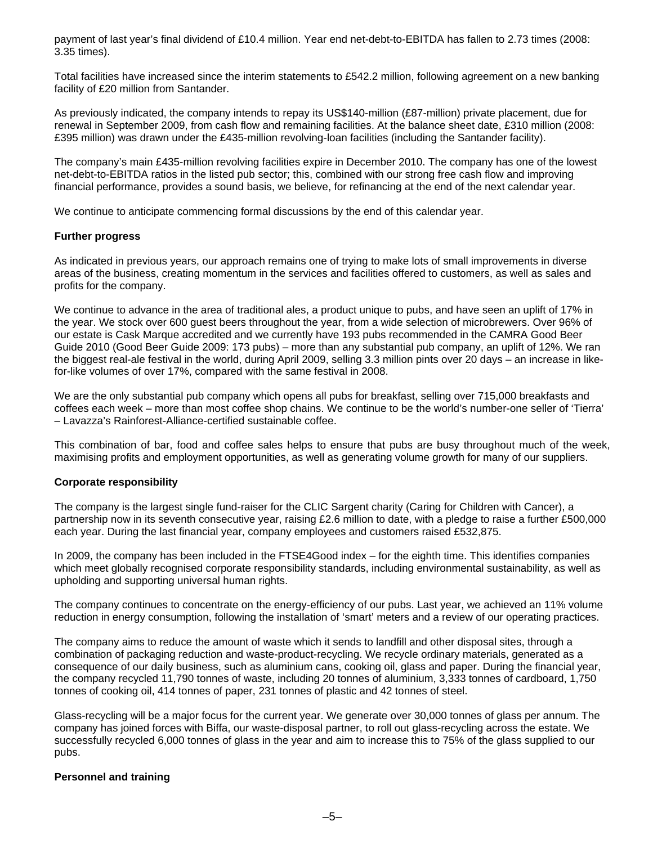payment of last year's final dividend of £10.4 million. Year end net-debt-to-EBITDA has fallen to 2.73 times (2008: 3.35 times).

Total facilities have increased since the interim statements to £542.2 million, following agreement on a new banking facility of £20 million from Santander.

As previously indicated, the company intends to repay its US\$140-million (£87-million) private placement, due for renewal in September 2009, from cash flow and remaining facilities. At the balance sheet date, £310 million (2008: £395 million) was drawn under the £435-million revolving-loan facilities (including the Santander facility).

The company's main £435-million revolving facilities expire in December 2010. The company has one of the lowest net-debt-to-EBITDA ratios in the listed pub sector; this, combined with our strong free cash flow and improving financial performance, provides a sound basis, we believe, for refinancing at the end of the next calendar year.

We continue to anticipate commencing formal discussions by the end of this calendar year.

### **Further progress**

As indicated in previous years, our approach remains one of trying to make lots of small improvements in diverse areas of the business, creating momentum in the services and facilities offered to customers, as well as sales and profits for the company.

We continue to advance in the area of traditional ales, a product unique to pubs, and have seen an uplift of 17% in the year. We stock over 600 guest beers throughout the year, from a wide selection of microbrewers. Over 96% of our estate is Cask Marque accredited and we currently have 193 pubs recommended in the CAMRA Good Beer Guide 2010 (Good Beer Guide 2009: 173 pubs) – more than any substantial pub company, an uplift of 12%. We ran the biggest real-ale festival in the world, during April 2009, selling 3.3 million pints over 20 days – an increase in likefor-like volumes of over 17%, compared with the same festival in 2008.

We are the only substantial pub company which opens all pubs for breakfast, selling over 715,000 breakfasts and coffees each week – more than most coffee shop chains. We continue to be the world's number-one seller of 'Tierra' – Lavazza's Rainforest-Alliance-certified sustainable coffee.

This combination of bar, food and coffee sales helps to ensure that pubs are busy throughout much of the week, maximising profits and employment opportunities, as well as generating volume growth for many of our suppliers.

### **Corporate responsibility**

The company is the largest single fund-raiser for the CLIC Sargent charity (Caring for Children with Cancer), a partnership now in its seventh consecutive year, raising £2.6 million to date, with a pledge to raise a further £500,000 each year. During the last financial year, company employees and customers raised £532,875.

In 2009, the company has been included in the FTSE4Good index – for the eighth time. This identifies companies which meet globally recognised corporate responsibility standards, including environmental sustainability, as well as upholding and supporting universal human rights.

The company continues to concentrate on the energy-efficiency of our pubs. Last year, we achieved an 11% volume reduction in energy consumption, following the installation of 'smart' meters and a review of our operating practices.

The company aims to reduce the amount of waste which it sends to landfill and other disposal sites, through a combination of packaging reduction and waste-product-recycling. We recycle ordinary materials, generated as a consequence of our daily business, such as aluminium cans, cooking oil, glass and paper. During the financial year, the company recycled 11,790 tonnes of waste, including 20 tonnes of aluminium, 3,333 tonnes of cardboard, 1,750 tonnes of cooking oil, 414 tonnes of paper, 231 tonnes of plastic and 42 tonnes of steel.

Glass-recycling will be a major focus for the current year. We generate over 30,000 tonnes of glass per annum. The company has joined forces with Biffa, our waste-disposal partner, to roll out glass-recycling across the estate. We successfully recycled 6,000 tonnes of glass in the year and aim to increase this to 75% of the glass supplied to our pubs.

### **Personnel and training**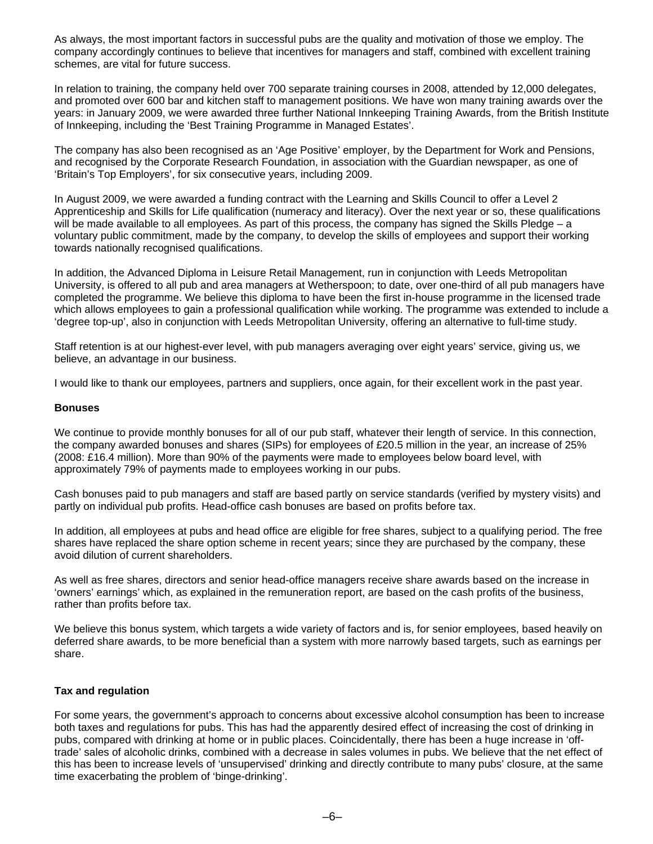As always, the most important factors in successful pubs are the quality and motivation of those we employ. The company accordingly continues to believe that incentives for managers and staff, combined with excellent training schemes, are vital for future success.

In relation to training, the company held over 700 separate training courses in 2008, attended by 12,000 delegates, and promoted over 600 bar and kitchen staff to management positions. We have won many training awards over the years: in January 2009, we were awarded three further National Innkeeping Training Awards, from the British Institute of Innkeeping, including the 'Best Training Programme in Managed Estates'.

The company has also been recognised as an 'Age Positive' employer, by the Department for Work and Pensions, and recognised by the Corporate Research Foundation, in association with the Guardian newspaper, as one of 'Britain's Top Employers', for six consecutive years, including 2009.

In August 2009, we were awarded a funding contract with the Learning and Skills Council to offer a Level 2 Apprenticeship and Skills for Life qualification (numeracy and literacy). Over the next year or so, these qualifications will be made available to all employees. As part of this process, the company has signed the Skills Pledge – a voluntary public commitment, made by the company, to develop the skills of employees and support their working towards nationally recognised qualifications.

In addition, the Advanced Diploma in Leisure Retail Management, run in conjunction with Leeds Metropolitan University, is offered to all pub and area managers at Wetherspoon; to date, over one-third of all pub managers have completed the programme. We believe this diploma to have been the first in-house programme in the licensed trade which allows employees to gain a professional qualification while working. The programme was extended to include a 'degree top-up', also in conjunction with Leeds Metropolitan University, offering an alternative to full-time study.

Staff retention is at our highest-ever level, with pub managers averaging over eight years' service, giving us, we believe, an advantage in our business.

I would like to thank our employees, partners and suppliers, once again, for their excellent work in the past year.

#### **Bonuses**

We continue to provide monthly bonuses for all of our pub staff, whatever their length of service. In this connection, the company awarded bonuses and shares (SIPs) for employees of £20.5 million in the year, an increase of 25% (2008: £16.4 million). More than 90% of the payments were made to employees below board level, with approximately 79% of payments made to employees working in our pubs.

Cash bonuses paid to pub managers and staff are based partly on service standards (verified by mystery visits) and partly on individual pub profits. Head-office cash bonuses are based on profits before tax.

In addition, all employees at pubs and head office are eligible for free shares, subject to a qualifying period. The free shares have replaced the share option scheme in recent years; since they are purchased by the company, these avoid dilution of current shareholders.

As well as free shares, directors and senior head-office managers receive share awards based on the increase in 'owners' earnings' which, as explained in the remuneration report, are based on the cash profits of the business, rather than profits before tax.

We believe this bonus system, which targets a wide variety of factors and is, for senior employees, based heavily on deferred share awards, to be more beneficial than a system with more narrowly based targets, such as earnings per share.

### **Tax and regulation**

For some years, the government's approach to concerns about excessive alcohol consumption has been to increase both taxes and regulations for pubs. This has had the apparently desired effect of increasing the cost of drinking in pubs, compared with drinking at home or in public places. Coincidentally, there has been a huge increase in 'offtrade' sales of alcoholic drinks, combined with a decrease in sales volumes in pubs. We believe that the net effect of this has been to increase levels of 'unsupervised' drinking and directly contribute to many pubs' closure, at the same time exacerbating the problem of 'binge-drinking'.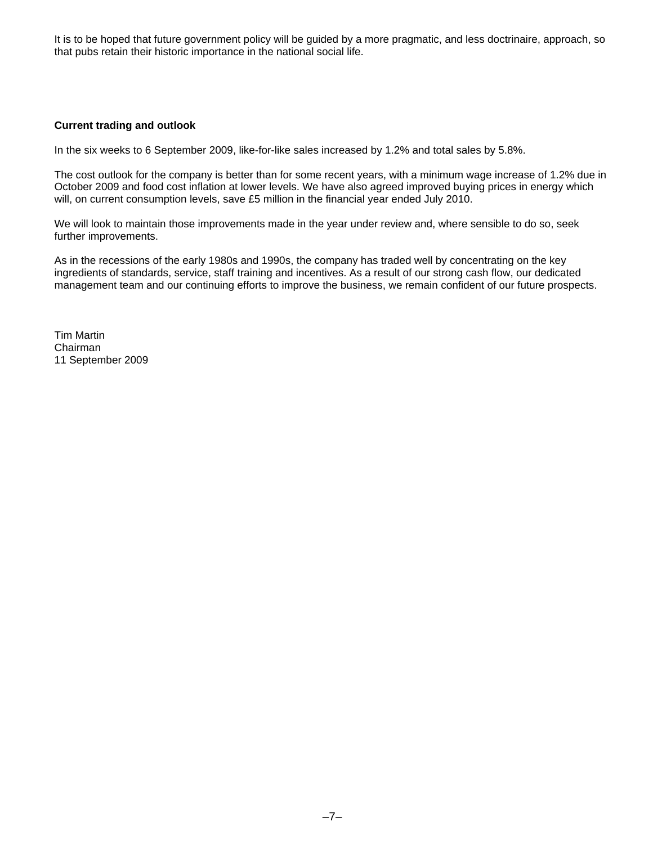It is to be hoped that future government policy will be guided by a more pragmatic, and less doctrinaire, approach, so that pubs retain their historic importance in the national social life.

# **Current trading and outlook**

In the six weeks to 6 September 2009, like-for-like sales increased by 1.2% and total sales by 5.8%.

The cost outlook for the company is better than for some recent years, with a minimum wage increase of 1.2% due in October 2009 and food cost inflation at lower levels. We have also agreed improved buying prices in energy which will, on current consumption levels, save £5 million in the financial year ended July 2010.

We will look to maintain those improvements made in the year under review and, where sensible to do so, seek further improvements.

As in the recessions of the early 1980s and 1990s, the company has traded well by concentrating on the key ingredients of standards, service, staff training and incentives. As a result of our strong cash flow, our dedicated management team and our continuing efforts to improve the business, we remain confident of our future prospects.

Tim Martin Chairman 11 September 2009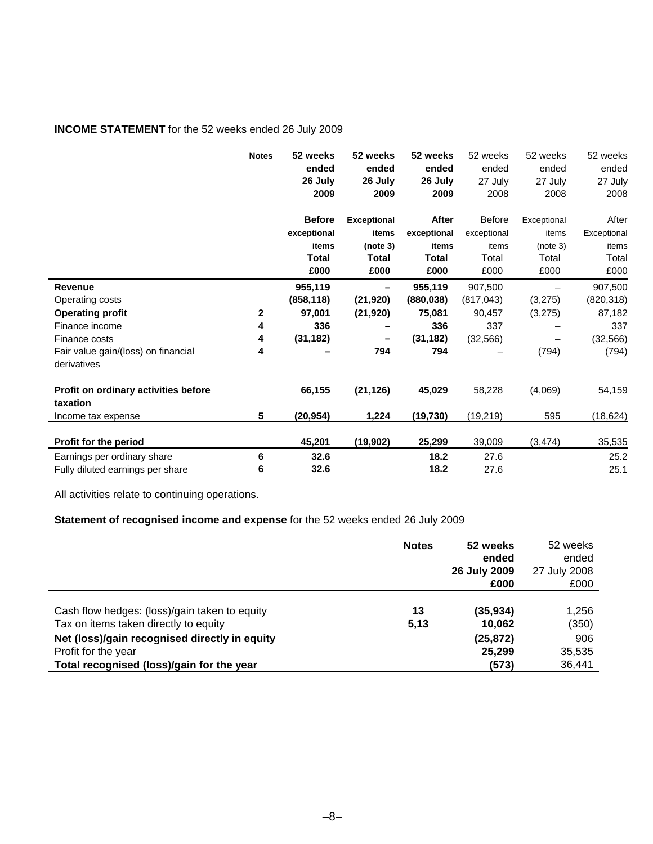# **INCOME STATEMENT** for the 52 weeks ended 26 July 2009

|                                                    | <b>Notes</b> | 52 weeks<br>ended<br>26 July<br>2009 | 52 weeks<br>ended<br>26 July<br>2009 | 52 weeks<br>ended<br>26 July<br>2009 | 52 weeks<br>ended<br>27 July<br>2008 | 52 weeks<br>ended<br>27 July<br>2008 | 52 weeks<br>ended<br>27 July<br>2008 |
|----------------------------------------------------|--------------|--------------------------------------|--------------------------------------|--------------------------------------|--------------------------------------|--------------------------------------|--------------------------------------|
|                                                    |              | <b>Before</b>                        | <b>Exceptional</b>                   | After                                | <b>Before</b>                        | Exceptional                          | After                                |
|                                                    |              | exceptional                          | items                                | exceptional                          | exceptional                          | items                                | Exceptional                          |
|                                                    |              | items                                | (note 3)                             | items                                | items                                | (note 3)                             | items                                |
|                                                    |              | Total                                | <b>Total</b>                         | Total                                | Total                                | Total                                | Total                                |
|                                                    |              | £000                                 | £000                                 | £000                                 | £000                                 | £000                                 | £000                                 |
| Revenue                                            |              | 955,119                              |                                      | 955,119                              | 907,500                              |                                      | 907,500                              |
| Operating costs                                    |              | (858,118)                            | (21, 920)                            | (880,038)                            | (817, 043)                           | (3, 275)                             | (820,318)                            |
| <b>Operating profit</b>                            | $\mathbf{2}$ | 97,001                               | (21, 920)                            | 75,081                               | 90,457                               | (3,275)                              | 87,182                               |
| Finance income                                     | 4            | 336                                  |                                      | 336                                  | 337                                  |                                      | 337                                  |
| Finance costs                                      | 4            | (31, 182)                            |                                      | (31, 182)                            | (32, 566)                            |                                      | (32, 566)                            |
| Fair value gain/(loss) on financial<br>derivatives | 4            |                                      | 794                                  | 794                                  |                                      | (794)                                | (794)                                |
| Profit on ordinary activities before<br>taxation   |              | 66,155                               | (21, 126)                            | 45,029                               | 58,228                               | (4,069)                              | 54,159                               |
| Income tax expense                                 | 5            | (20, 954)                            | 1,224                                | (19, 730)                            | (19, 219)                            | 595                                  | (18, 624)                            |
|                                                    |              |                                      |                                      |                                      |                                      |                                      |                                      |
| Profit for the period                              |              | 45,201                               | (19, 902)                            | 25,299                               | 39,009                               | (3, 474)                             | 35,535                               |
| Earnings per ordinary share                        | 6            | 32.6                                 |                                      | 18.2                                 | 27.6                                 |                                      | 25.2                                 |
| Fully diluted earnings per share                   | 6            | 32.6                                 |                                      | 18.2                                 | 27.6                                 |                                      | 25.1                                 |

All activities relate to continuing operations.

# **Statement of recognised income and expense** for the 52 weeks ended 26 July 2009

|                                               | <b>Notes</b> | 52 weeks<br>ended<br>26 July 2009<br>£000 | 52 weeks<br>ended<br>27 July 2008<br>£000 |
|-----------------------------------------------|--------------|-------------------------------------------|-------------------------------------------|
| Cash flow hedges: (loss)/gain taken to equity | 13           | (35, 934)                                 | 1,256                                     |
| Tax on items taken directly to equity         | 5,13         | 10,062                                    | (350)                                     |
| Net (loss)/gain recognised directly in equity |              | (25, 872)                                 | 906                                       |
| Profit for the year                           |              | 25,299                                    | 35,535                                    |
| Total recognised (loss)/gain for the year     |              | (573)                                     | 36,441                                    |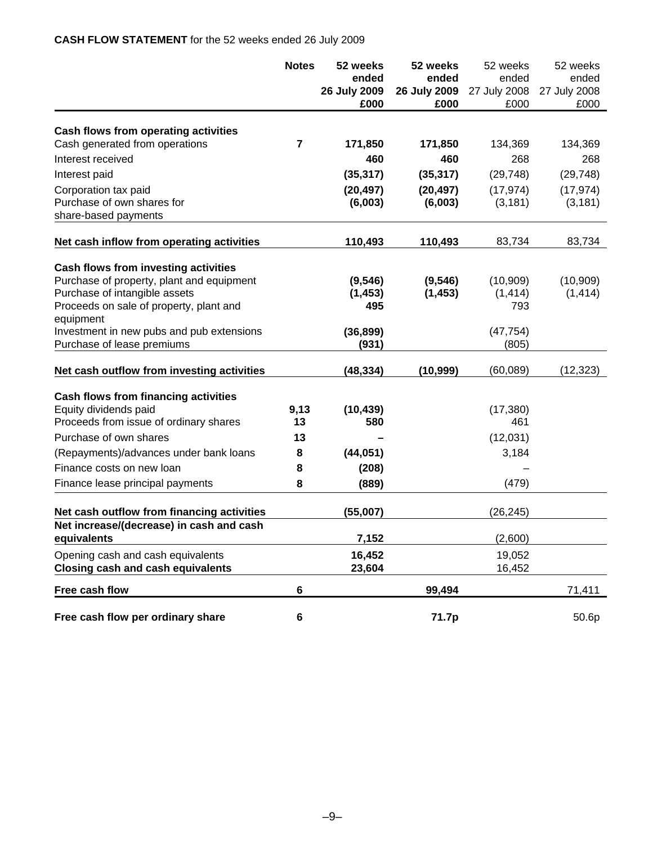# **CASH FLOW STATEMENT** for the 52 weeks ended 26 July 2009

|                                             | <b>Notes</b> | 52 weeks     | 52 weeks     | 52 weeks     | 52 weeks     |
|---------------------------------------------|--------------|--------------|--------------|--------------|--------------|
|                                             |              | ended        | ended        | ended        | ended        |
|                                             |              | 26 July 2009 | 26 July 2009 | 27 July 2008 | 27 July 2008 |
|                                             |              | £000         | £000         | £000         | £000         |
| Cash flows from operating activities        |              |              |              |              |              |
| Cash generated from operations              | 7            | 171,850      | 171,850      | 134,369      | 134,369      |
| Interest received                           |              | 460          | 460          | 268          | 268          |
| Interest paid                               |              | (35, 317)    | (35, 317)    | (29, 748)    | (29, 748)    |
| Corporation tax paid                        |              | (20, 497)    | (20, 497)    | (17, 974)    | (17, 974)    |
| Purchase of own shares for                  |              | (6,003)      | (6,003)      | (3, 181)     | (3, 181)     |
| share-based payments                        |              |              |              |              |              |
| Net cash inflow from operating activities   |              | 110,493      | 110,493      | 83,734       | 83,734       |
| Cash flows from investing activities        |              |              |              |              |              |
| Purchase of property, plant and equipment   |              | (9, 546)     | (9, 546)     | (10, 909)    | (10, 909)    |
| Purchase of intangible assets               |              | (1, 453)     | (1, 453)     | (1, 414)     | (1, 414)     |
| Proceeds on sale of property, plant and     |              | 495          |              | 793          |              |
| equipment                                   |              |              |              |              |              |
| Investment in new pubs and pub extensions   |              | (36, 899)    |              | (47, 754)    |              |
| Purchase of lease premiums                  |              | (931)        |              | (805)        |              |
| Net cash outflow from investing activities  |              | (48, 334)    | (10, 999)    | (60, 089)    | (12, 323)    |
| <b>Cash flows from financing activities</b> |              |              |              |              |              |
| Equity dividends paid                       | 9,13         | (10, 439)    |              | (17, 380)    |              |
| Proceeds from issue of ordinary shares      | 13           | 580          |              | 461          |              |
| Purchase of own shares                      | 13           |              |              | (12,031)     |              |
| (Repayments)/advances under bank loans      | 8            | (44, 051)    |              | 3,184        |              |
| Finance costs on new loan                   | 8            | (208)        |              |              |              |
| Finance lease principal payments            | 8            | (889)        |              | (479)        |              |
| Net cash outflow from financing activities  |              | (55,007)     |              | (26, 245)    |              |
| Net increase/(decrease) in cash and cash    |              |              |              |              |              |
| equivalents                                 |              | 7,152        |              | (2,600)      |              |
| Opening cash and cash equivalents           |              | 16,452       |              | 19,052       |              |
| <b>Closing cash and cash equivalents</b>    |              | 23,604       |              | 16,452       |              |
| Free cash flow                              | 6            |              | 99,494       |              | 71,411       |
| Free cash flow per ordinary share           | 6            |              | 71.7p        |              | 50.6p        |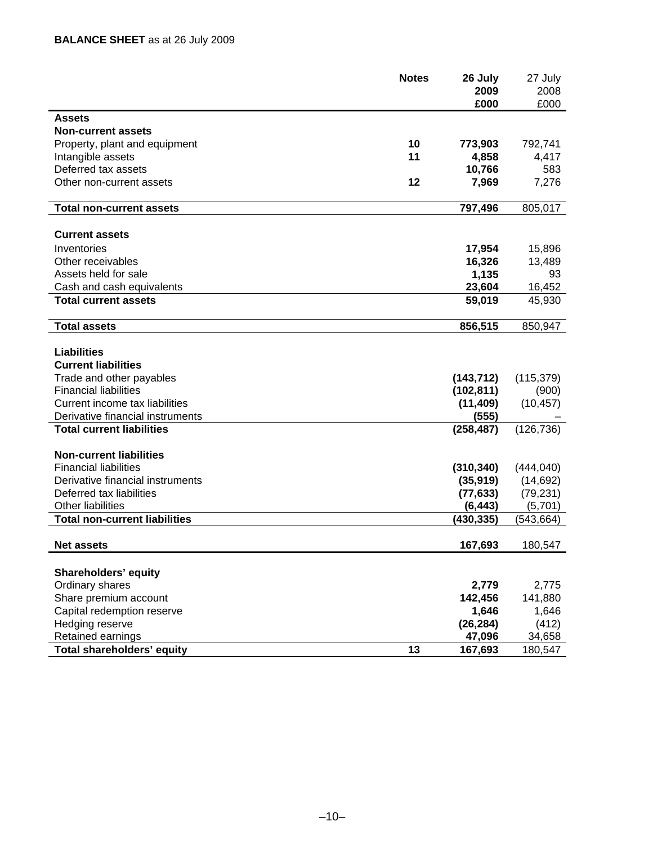|                                      | <b>Notes</b> | 26 July<br>2009 | 27 July<br>2008 |
|--------------------------------------|--------------|-----------------|-----------------|
|                                      |              | £000            | £000            |
| Assets                               |              |                 |                 |
| <b>Non-current assets</b>            |              |                 |                 |
| Property, plant and equipment        | 10           | 773,903         | 792,741         |
| Intangible assets                    | 11           | 4,858           | 4,417           |
| Deferred tax assets                  |              | 10,766          | 583             |
| Other non-current assets             | 12           | 7,969           | 7,276           |
|                                      |              |                 |                 |
| <b>Total non-current assets</b>      |              | 797,496         | 805,017         |
| <b>Current assets</b>                |              |                 |                 |
|                                      |              |                 |                 |
| Inventories                          |              | 17,954          | 15,896          |
| Other receivables                    |              | 16,326          | 13,489          |
| Assets held for sale                 |              | 1,135           | 93              |
| Cash and cash equivalents            |              | 23,604          | 16,452          |
| <b>Total current assets</b>          |              | 59,019          | 45,930          |
| <b>Total assets</b>                  |              | 856,515         | 850,947         |
|                                      |              |                 |                 |
| <b>Liabilities</b>                   |              |                 |                 |
| <b>Current liabilities</b>           |              |                 |                 |
| Trade and other payables             |              | (143, 712)      | (115, 379)      |
| <b>Financial liabilities</b>         |              | (102, 811)      | (900)           |
| Current income tax liabilities       |              | (11, 409)       | (10, 457)       |
| Derivative financial instruments     |              | (555)           |                 |
| <b>Total current liabilities</b>     |              | (258, 487)      | (126, 736)      |
| <b>Non-current liabilities</b>       |              |                 |                 |
| <b>Financial liabilities</b>         |              | (310, 340)      | (444, 040)      |
| Derivative financial instruments     |              | (35, 919)       | (14, 692)       |
| Deferred tax liabilities             |              | (77, 633)       | (79, 231)       |
| Other liabilities                    |              | (6, 443)        | (5,701)         |
| <b>Total non-current liabilities</b> |              | (430, 335)      | (543,664)       |
|                                      |              |                 |                 |
| <b>Net assets</b>                    |              | 167,693         | 180,547         |
|                                      |              |                 |                 |
| <b>Shareholders' equity</b>          |              |                 |                 |
| Ordinary shares                      |              | 2,779           | 2,775           |
| Share premium account                |              | 142,456         | 141,880         |
| Capital redemption reserve           |              | 1,646           | 1,646           |
| Hedging reserve                      |              | (26, 284)       | (412)           |
| Retained earnings                    |              | 47,096          | 34,658          |
| Total shareholders' equity           | 13           | 167,693         | 180,547         |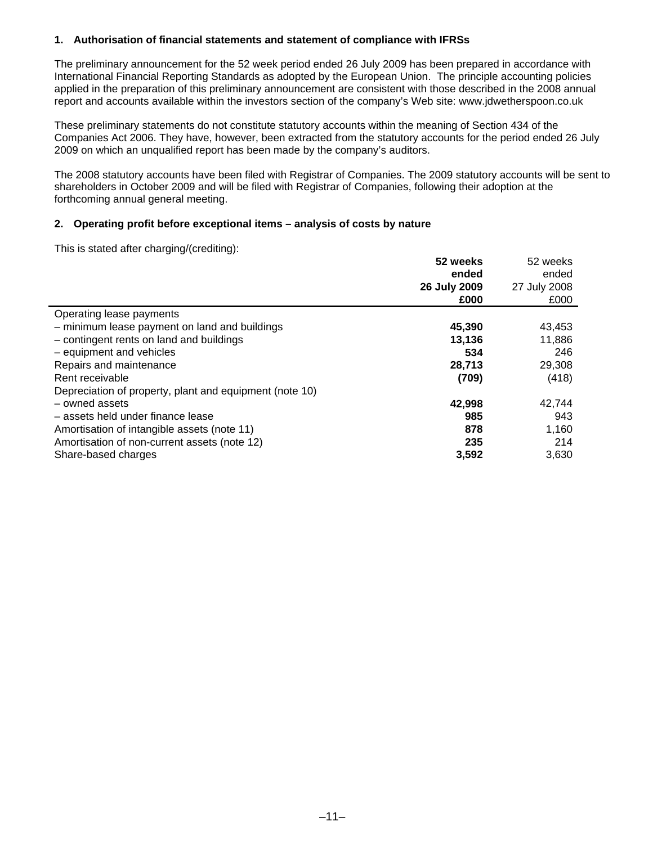# **1. Authorisation of financial statements and statement of compliance with IFRSs**

The preliminary announcement for the 52 week period ended 26 July 2009 has been prepared in accordance with International Financial Reporting Standards as adopted by the European Union. The principle accounting policies applied in the preparation of this preliminary announcement are consistent with those described in the 2008 annual report and accounts available within the investors section of the company's Web site: www.jdwetherspoon.co.uk

These preliminary statements do not constitute statutory accounts within the meaning of Section 434 of the Companies Act 2006. They have, however, been extracted from the statutory accounts for the period ended 26 July 2009 on which an unqualified report has been made by the company's auditors.

The 2008 statutory accounts have been filed with Registrar of Companies. The 2009 statutory accounts will be sent to shareholders in October 2009 and will be filed with Registrar of Companies, following their adoption at the forthcoming annual general meeting.

### **2. Operating profit before exceptional items – analysis of costs by nature**

This is stated after charging/(crediting):

| $\frac{1}{2}$                                           | 52 weeks<br>ended<br>26 July 2009<br>£000 | 52 weeks<br>ended<br>27 July 2008<br>£000 |
|---------------------------------------------------------|-------------------------------------------|-------------------------------------------|
| Operating lease payments                                |                                           |                                           |
| - minimum lease payment on land and buildings           | 45,390                                    | 43,453                                    |
| - contingent rents on land and buildings                | 13,136                                    | 11,886                                    |
| - equipment and vehicles                                | 534                                       | 246                                       |
| Repairs and maintenance                                 | 28,713                                    | 29,308                                    |
| Rent receivable                                         | (709)                                     | (418)                                     |
| Depreciation of property, plant and equipment (note 10) |                                           |                                           |
| - owned assets                                          | 42,998                                    | 42,744                                    |
| - assets held under finance lease                       | 985                                       | 943                                       |
| Amortisation of intangible assets (note 11)             | 878                                       | 1,160                                     |
| Amortisation of non-current assets (note 12)            | 235                                       | 214                                       |
| Share-based charges                                     | 3,592                                     | 3.630                                     |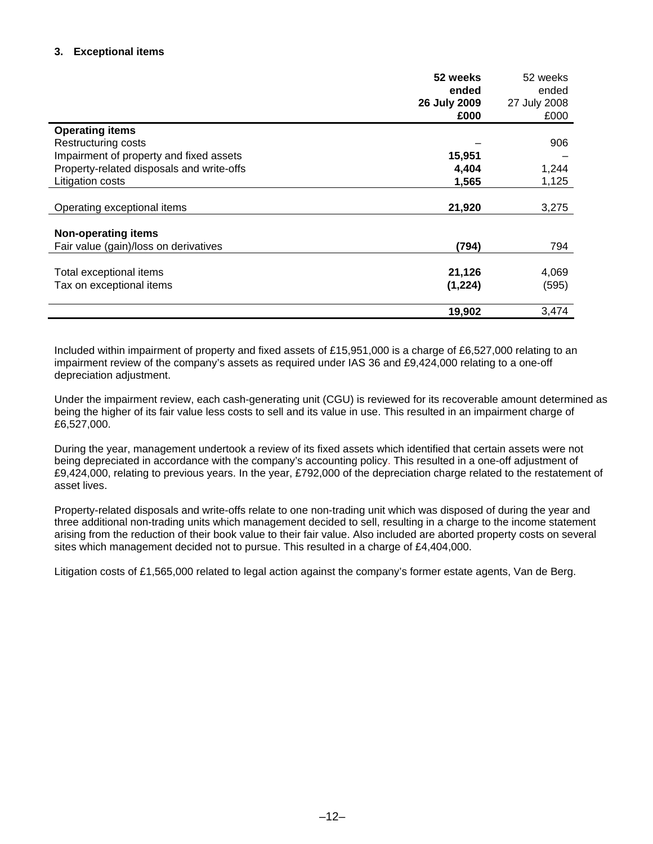# **3. Exceptional items**

|                                           | 52 weeks     | 52 weeks     |
|-------------------------------------------|--------------|--------------|
|                                           | ended        | ended        |
|                                           | 26 July 2009 | 27 July 2008 |
|                                           | £000         | £000         |
| <b>Operating items</b>                    |              |              |
| Restructuring costs                       |              | 906          |
| Impairment of property and fixed assets   | 15,951       |              |
| Property-related disposals and write-offs | 4,404        | 1,244        |
| Litigation costs                          | 1,565        | 1,125        |
|                                           |              |              |
| Operating exceptional items               | 21,920       | 3,275        |
|                                           |              |              |
| <b>Non-operating items</b>                |              |              |
| Fair value (gain)/loss on derivatives     | (794)        | 794          |
|                                           |              |              |
| Total exceptional items                   | 21,126       | 4,069        |
| Tax on exceptional items                  | (1,224)      | (595)        |
|                                           | 19,902       | 3,474        |

Included within impairment of property and fixed assets of £15,951,000 is a charge of £6,527,000 relating to an impairment review of the company's assets as required under IAS 36 and £9,424,000 relating to a one-off depreciation adjustment.

Under the impairment review, each cash-generating unit (CGU) is reviewed for its recoverable amount determined as being the higher of its fair value less costs to sell and its value in use. This resulted in an impairment charge of £6,527,000.

During the year, management undertook a review of its fixed assets which identified that certain assets were not being depreciated in accordance with the company's accounting policy. This resulted in a one-off adjustment of £9,424,000, relating to previous years. In the year, £792,000 of the depreciation charge related to the restatement of asset lives.

Property-related disposals and write-offs relate to one non-trading unit which was disposed of during the year and three additional non-trading units which management decided to sell, resulting in a charge to the income statement arising from the reduction of their book value to their fair value. Also included are aborted property costs on several sites which management decided not to pursue. This resulted in a charge of £4,404,000.

Litigation costs of £1,565,000 related to legal action against the company's former estate agents, Van de Berg.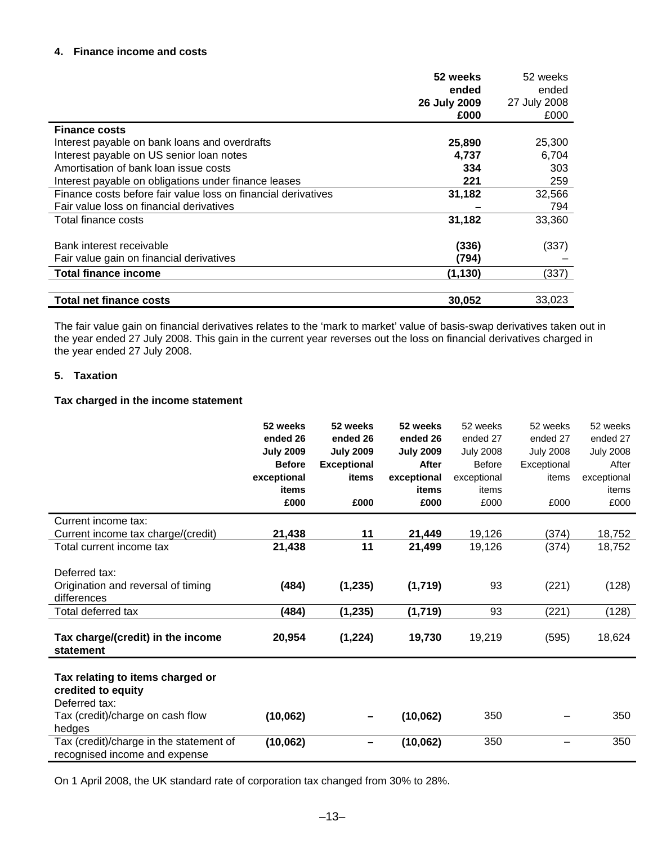# **4. Finance income and costs**

|                                                               | 52 weeks     | 52 weeks     |
|---------------------------------------------------------------|--------------|--------------|
|                                                               | ended        | ended        |
|                                                               | 26 July 2009 | 27 July 2008 |
|                                                               | £000         | £000         |
| <b>Finance costs</b>                                          |              |              |
| Interest payable on bank loans and overdrafts                 | 25,890       | 25,300       |
| Interest payable on US senior loan notes                      | 4,737        | 6,704        |
| Amortisation of bank loan issue costs                         | 334          | 303          |
| Interest payable on obligations under finance leases          | 221          | 259          |
| Finance costs before fair value loss on financial derivatives | 31,182       | 32,566       |
| Fair value loss on financial derivatives                      |              | 794          |
| Total finance costs                                           | 31,182       | 33,360       |
|                                                               |              |              |
| Bank interest receivable                                      | (336)        | (337)        |
| Fair value gain on financial derivatives                      | (794)        |              |
| <b>Total finance income</b>                                   | (1, 130)     | (337)        |
| <b>Total net finance costs</b>                                | 30,052       | 33,023       |

The fair value gain on financial derivatives relates to the 'mark to market' value of basis-swap derivatives taken out in the year ended 27 July 2008. This gain in the current year reverses out the loss on financial derivatives charged in the year ended 27 July 2008.

### **5. Taxation**

### **Tax charged in the income statement**

| 52 weeks         | 52 weeks                                         | 52 weeks                        | 52 weeks                                             | 52 weeks                         | 52 weeks                |
|------------------|--------------------------------------------------|---------------------------------|------------------------------------------------------|----------------------------------|-------------------------|
| ended 26         | ended 26                                         | ended 26                        | ended 27                                             | ended 27                         | ended 27                |
| <b>July 2009</b> | <b>July 2009</b>                                 | <b>July 2009</b>                | <b>July 2008</b>                                     | <b>July 2008</b>                 | <b>July 2008</b>        |
| <b>Before</b>    | <b>Exceptional</b>                               | <b>After</b>                    | <b>Before</b>                                        | Exceptional                      | After                   |
| exceptional      | items                                            | exceptional                     | exceptional                                          | items                            | exceptional             |
| items            |                                                  | items                           | items                                                |                                  | items                   |
| £000             | £000                                             | £000                            | £000                                                 | £000                             | £000                    |
|                  |                                                  |                                 |                                                      |                                  |                         |
| 21,438           | 11                                               | 21,449                          | 19,126                                               | (374)                            | 18,752                  |
| 21,438           | 11                                               | 21,499                          | 19,126                                               | (374)                            | 18,752                  |
|                  |                                                  |                                 |                                                      |                                  |                         |
|                  |                                                  |                                 |                                                      |                                  |                         |
|                  |                                                  |                                 |                                                      |                                  | (128)                   |
|                  |                                                  |                                 |                                                      |                                  |                         |
|                  |                                                  |                                 |                                                      |                                  | (128)                   |
|                  |                                                  |                                 |                                                      |                                  |                         |
|                  |                                                  |                                 |                                                      |                                  | 18,624                  |
|                  |                                                  |                                 |                                                      |                                  |                         |
|                  |                                                  |                                 |                                                      |                                  |                         |
|                  |                                                  |                                 |                                                      |                                  |                         |
|                  |                                                  |                                 |                                                      |                                  |                         |
|                  |                                                  |                                 |                                                      |                                  | 350                     |
|                  |                                                  |                                 |                                                      |                                  |                         |
|                  |                                                  |                                 |                                                      |                                  | 350                     |
|                  |                                                  |                                 |                                                      |                                  |                         |
|                  | (484)<br>(484)<br>20,954<br>(10,062)<br>(10,062) | (1, 235)<br>(1, 235)<br>(1,224) | (1,719)<br>(1,719)<br>19,730<br>(10,062)<br>(10,062) | 93<br>93<br>19,219<br>350<br>350 | (221)<br>(221)<br>(595) |

On 1 April 2008, the UK standard rate of corporation tax changed from 30% to 28%.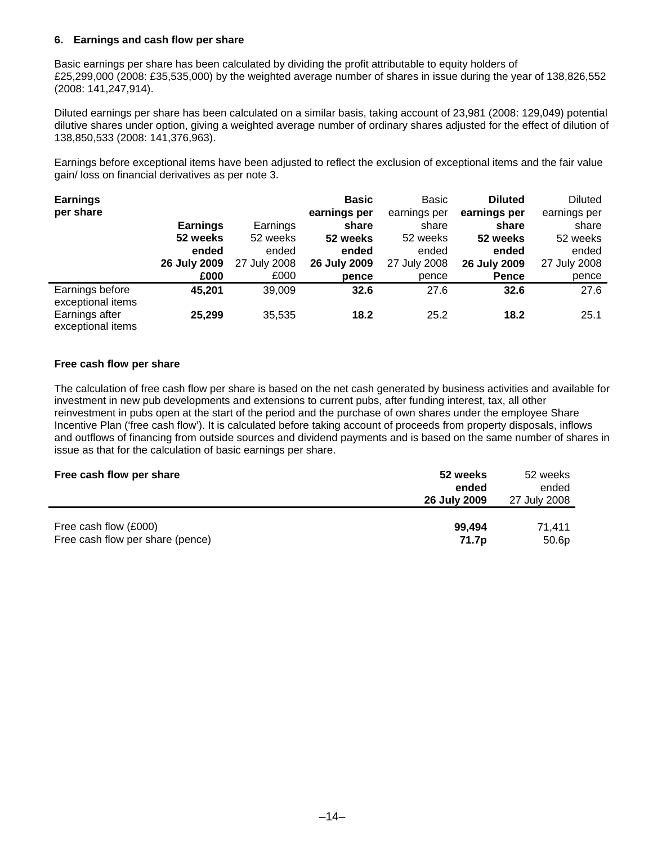# **6. Earnings and cash flow per share**

Basic earnings per share has been calculated by dividing the profit attributable to equity holders of £25,299,000 (2008: £35,535,000) by the weighted average number of shares in issue during the year of 138,826,552 (2008: 141,247,914).

Diluted earnings per share has been calculated on a similar basis, taking account of 23,981 (2008: 129,049) potential dilutive shares under option, giving a weighted average number of ordinary shares adjusted for the effect of dilution of 138,850,533 (2008: 141,376,963).

Earnings before exceptional items have been adjusted to reflect the exclusion of exceptional items and the fair value gain/ loss on financial derivatives as per note 3.

| <b>Earnings</b><br>per share         |                 |              | <b>Basic</b><br>earnings per | Basic<br>earnings per | <b>Diluted</b><br>earnings per | <b>Diluted</b><br>earnings per |
|--------------------------------------|-----------------|--------------|------------------------------|-----------------------|--------------------------------|--------------------------------|
|                                      | <b>Earnings</b> | Earnings     | share                        | share                 | share                          | share                          |
|                                      | 52 weeks        | 52 weeks     | 52 weeks                     | 52 weeks              | 52 weeks                       | 52 weeks                       |
|                                      | ended           | ended        | ended                        | ended                 | ended                          | ended                          |
|                                      | 26 July 2009    | 27 July 2008 | 26 July 2009                 | 27 July 2008          | 26 July 2009                   | 27 July 2008                   |
|                                      | £000            | £000         | pence                        | pence                 | <b>Pence</b>                   | pence                          |
| Earnings before<br>exceptional items | 45,201          | 39,009       | 32.6                         | 27.6                  | 32.6                           | 27.6                           |
| Earnings after<br>exceptional items  | 25,299          | 35,535       | 18.2                         | 25.2                  | 18.2                           | 25.1                           |

### **Free cash flow per share**

The calculation of free cash flow per share is based on the net cash generated by business activities and available for investment in new pub developments and extensions to current pubs, after funding interest, tax, all other reinvestment in pubs open at the start of the period and the purchase of own shares under the employee Share Incentive Plan ('free cash flow'). It is calculated before taking account of proceeds from property disposals, inflows and outflows of financing from outside sources and dividend payments and is based on the same number of shares in issue as that for the calculation of basic earnings per share.

| Free cash flow per share         | 52 weeks<br>ended<br>26 July 2009 | 52 weeks<br>ended<br>27 July 2008 |
|----------------------------------|-----------------------------------|-----------------------------------|
| Free cash flow (£000)            | 99.494                            | 71.411                            |
| Free cash flow per share (pence) | 71.7p                             | 50.6 <sub>p</sub>                 |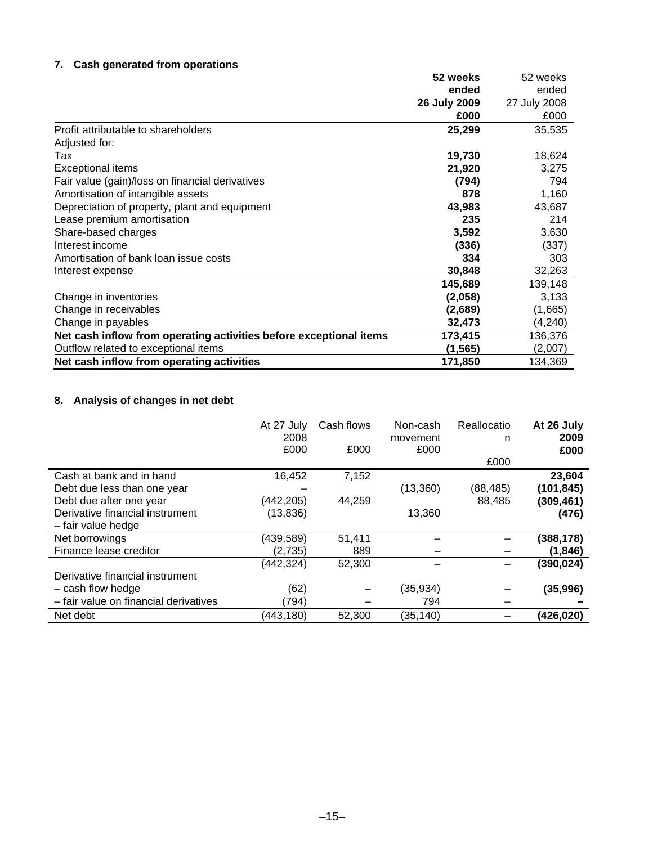# **7. Cash generated from operations**

|                                                                    | 52 weeks     | 52 weeks     |
|--------------------------------------------------------------------|--------------|--------------|
|                                                                    | ended        | ended        |
|                                                                    | 26 July 2009 | 27 July 2008 |
|                                                                    | £000         | £000         |
| Profit attributable to shareholders                                | 25,299       | 35,535       |
| Adjusted for:                                                      |              |              |
| Tax                                                                | 19,730       | 18,624       |
| <b>Exceptional items</b>                                           | 21,920       | 3,275        |
| Fair value (gain)/loss on financial derivatives                    | (794)        | 794          |
| Amortisation of intangible assets                                  | 878          | 1,160        |
| Depreciation of property, plant and equipment                      | 43,983       | 43,687       |
| Lease premium amortisation                                         | 235          | 214          |
| Share-based charges                                                | 3,592        | 3,630        |
| Interest income                                                    | (336)        | (337)        |
| Amortisation of bank loan issue costs                              | 334          | 303          |
| Interest expense                                                   | 30,848       | 32,263       |
|                                                                    | 145,689      | 139,148      |
| Change in inventories                                              | (2,058)      | 3,133        |
| Change in receivables                                              | (2,689)      | (1,665)      |
| Change in payables                                                 | 32,473       | (4,240)      |
| Net cash inflow from operating activities before exceptional items | 173,415      | 136,376      |
| Outflow related to exceptional items                               | (1, 565)     | (2,007)      |
| Net cash inflow from operating activities                          | 171,850      | 134,369      |

# **8. Analysis of changes in net debt**

|                                                        | At 27 July<br>2008<br>£000 | Cash flows<br>£000 | Non-cash<br>movement<br>£000 | Reallocatio<br>n<br>£000 | At 26 July<br>2009<br>£000 |
|--------------------------------------------------------|----------------------------|--------------------|------------------------------|--------------------------|----------------------------|
| Cash at bank and in hand                               | 16,452                     | 7,152              |                              |                          | 23,604                     |
| Debt due less than one year<br>Debt due after one year | (442,205)                  | 44,259             | (13,360)                     | (88, 485)<br>88,485      | (101, 845)<br>(309, 461)   |
| Derivative financial instrument<br>- fair value hedge  | (13, 836)                  |                    | 13,360                       |                          | (476)                      |
| Net borrowings                                         | (439,589)                  | 51,411             |                              |                          | (388, 178)                 |
| Finance lease creditor                                 | (2,735)                    | 889                |                              |                          | (1, 846)                   |
| Derivative financial instrument                        | (442,324)                  | 52,300             |                              |                          | (390, 024)                 |
| $-$ cash flow hedge                                    | (62)                       |                    | (35, 934)                    |                          | (35,996)                   |
| - fair value on financial derivatives                  | (794)                      |                    | 794                          |                          |                            |
| Net debt                                               | (443,180)                  | 52,300             | (35,140)                     |                          | (426,020)                  |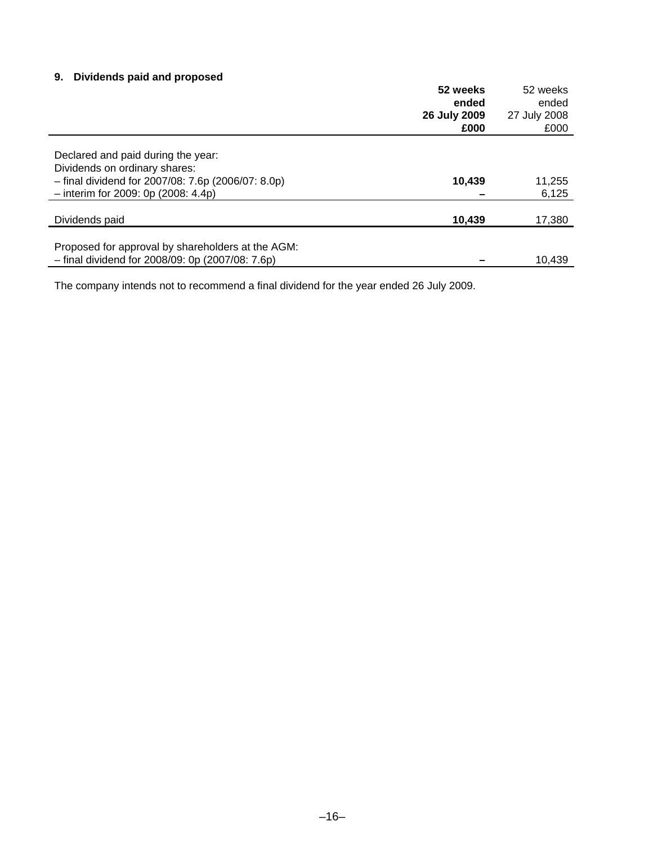# **9. Dividends paid and proposed**

|                                                                                                       | 52 weeks<br>ended | 52 weeks<br>ended |
|-------------------------------------------------------------------------------------------------------|-------------------|-------------------|
|                                                                                                       | 26 July 2009      | 27 July 2008      |
|                                                                                                       | £000              | £000              |
| Declared and paid during the year:                                                                    |                   |                   |
| Dividends on ordinary shares:<br>$-$ final dividend for 2007/08: 7.6p (2006/07: 8.0p)                 | 10,439            |                   |
| $-$ interim for 2009: 0p (2008: 4.4p)                                                                 |                   | 11,255<br>6,125   |
| Dividends paid                                                                                        | 10,439            | 17,380            |
|                                                                                                       |                   |                   |
| Proposed for approval by shareholders at the AGM:<br>- final dividend for 2008/09: 0p (2007/08: 7.6p) |                   | 10.439            |

The company intends not to recommend a final dividend for the year ended 26 July 2009.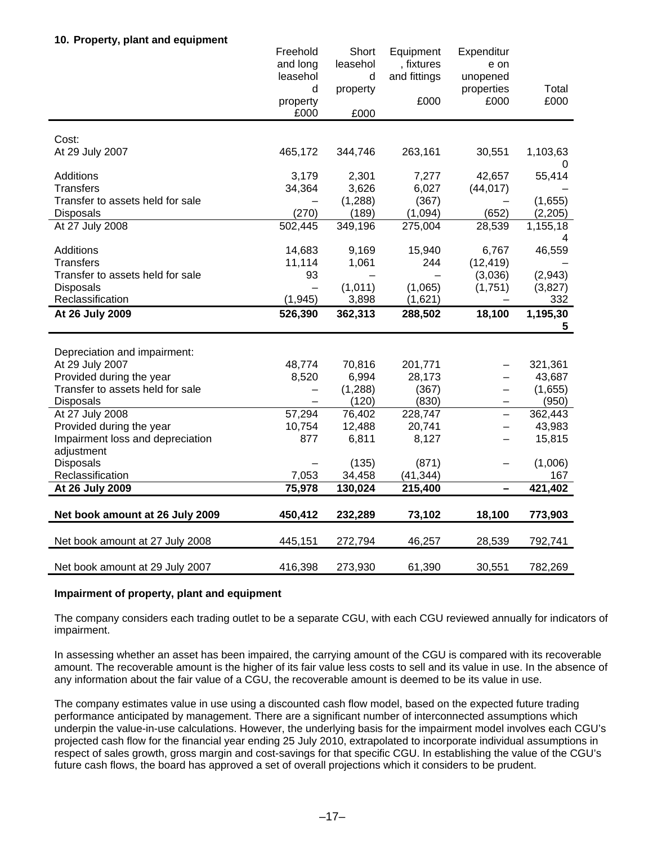## **10. Property, plant and equipment**

| and long<br>leasehol<br>, fixtures<br>e on<br>leasehol<br>and fittings<br>d<br>unopened<br>Total<br>d<br>properties<br>property<br>£000<br>£000<br>£000<br>property<br>£000<br>£000<br>Cost:<br>At 29 July 2007<br>263,161<br>1,103,63<br>465,172<br>344,746<br>30,551<br>0<br><b>Additions</b><br>3,179<br>2,301<br>7,277<br>42,657<br>55,414<br><b>Transfers</b><br>34,364<br>3,626<br>6,027<br>(44, 017)<br>(1,288)<br>(367)<br>Transfer to assets held for sale<br>(1,655)<br>(270)<br>(189)<br>(1,094)<br>Disposals<br>(652)<br>(2,205)<br>At 27 July 2008<br>502,445<br>349,196<br>275,004<br>28,539<br>1,155,18 |
|------------------------------------------------------------------------------------------------------------------------------------------------------------------------------------------------------------------------------------------------------------------------------------------------------------------------------------------------------------------------------------------------------------------------------------------------------------------------------------------------------------------------------------------------------------------------------------------------------------------------|
|                                                                                                                                                                                                                                                                                                                                                                                                                                                                                                                                                                                                                        |
|                                                                                                                                                                                                                                                                                                                                                                                                                                                                                                                                                                                                                        |
|                                                                                                                                                                                                                                                                                                                                                                                                                                                                                                                                                                                                                        |
|                                                                                                                                                                                                                                                                                                                                                                                                                                                                                                                                                                                                                        |
|                                                                                                                                                                                                                                                                                                                                                                                                                                                                                                                                                                                                                        |
|                                                                                                                                                                                                                                                                                                                                                                                                                                                                                                                                                                                                                        |
|                                                                                                                                                                                                                                                                                                                                                                                                                                                                                                                                                                                                                        |
|                                                                                                                                                                                                                                                                                                                                                                                                                                                                                                                                                                                                                        |
|                                                                                                                                                                                                                                                                                                                                                                                                                                                                                                                                                                                                                        |
|                                                                                                                                                                                                                                                                                                                                                                                                                                                                                                                                                                                                                        |
|                                                                                                                                                                                                                                                                                                                                                                                                                                                                                                                                                                                                                        |
|                                                                                                                                                                                                                                                                                                                                                                                                                                                                                                                                                                                                                        |
|                                                                                                                                                                                                                                                                                                                                                                                                                                                                                                                                                                                                                        |
|                                                                                                                                                                                                                                                                                                                                                                                                                                                                                                                                                                                                                        |
| 4                                                                                                                                                                                                                                                                                                                                                                                                                                                                                                                                                                                                                      |
| <b>Additions</b><br>14,683<br>46,559<br>9,169<br>15,940<br>6,767                                                                                                                                                                                                                                                                                                                                                                                                                                                                                                                                                       |
| <b>Transfers</b><br>11,114<br>1,061<br>244<br>(12, 419)                                                                                                                                                                                                                                                                                                                                                                                                                                                                                                                                                                |
| Transfer to assets held for sale<br>93<br>(2,943)<br>(3,036)                                                                                                                                                                                                                                                                                                                                                                                                                                                                                                                                                           |
| <b>Disposals</b><br>(1,011)<br>(1,065)<br>(1,751)<br>(3,827)<br>$\qquad \qquad -$                                                                                                                                                                                                                                                                                                                                                                                                                                                                                                                                      |
| Reclassification<br>(1, 945)<br>3,898<br>(1,621)<br>332                                                                                                                                                                                                                                                                                                                                                                                                                                                                                                                                                                |
| At 26 July 2009<br>526,390<br>362,313<br>18,100<br>1,195,30<br>288,502                                                                                                                                                                                                                                                                                                                                                                                                                                                                                                                                                 |
| 5                                                                                                                                                                                                                                                                                                                                                                                                                                                                                                                                                                                                                      |
|                                                                                                                                                                                                                                                                                                                                                                                                                                                                                                                                                                                                                        |
| Depreciation and impairment:                                                                                                                                                                                                                                                                                                                                                                                                                                                                                                                                                                                           |
| At 29 July 2007<br>48,774<br>70,816<br>201,771<br>321,361                                                                                                                                                                                                                                                                                                                                                                                                                                                                                                                                                              |
| Provided during the year<br>6,994<br>8,520<br>28,173<br>43,687                                                                                                                                                                                                                                                                                                                                                                                                                                                                                                                                                         |
| Transfer to assets held for sale<br>(1, 288)<br>(367)<br>(1,655)<br>$\overline{\phantom{0}}$<br>—                                                                                                                                                                                                                                                                                                                                                                                                                                                                                                                      |
| <b>Disposals</b><br>(120)<br>(830)<br>(950)<br>-                                                                                                                                                                                                                                                                                                                                                                                                                                                                                                                                                                       |
| 57,294<br>At 27 July 2008<br>76,402<br>228,747<br>362,443<br>$\overline{\phantom{0}}$                                                                                                                                                                                                                                                                                                                                                                                                                                                                                                                                  |
| Provided during the year<br>10,754<br>12,488<br>20,741<br>43,983                                                                                                                                                                                                                                                                                                                                                                                                                                                                                                                                                       |
| Impairment loss and depreciation<br>877<br>6,811<br>8,127<br>15,815                                                                                                                                                                                                                                                                                                                                                                                                                                                                                                                                                    |
| adjustment                                                                                                                                                                                                                                                                                                                                                                                                                                                                                                                                                                                                             |
| Disposals<br>(135)<br>(871)<br>(1,006)                                                                                                                                                                                                                                                                                                                                                                                                                                                                                                                                                                                 |
| Reclassification<br>7,053<br>(41, 344)<br>34,458<br>167                                                                                                                                                                                                                                                                                                                                                                                                                                                                                                                                                                |
| 215,400<br>421,402<br>75,978<br>At 26 July 2009<br>130,024                                                                                                                                                                                                                                                                                                                                                                                                                                                                                                                                                             |
|                                                                                                                                                                                                                                                                                                                                                                                                                                                                                                                                                                                                                        |
| Net book amount at 26 July 2009<br>232,289<br>73,102<br>18,100<br>773,903<br>450,412                                                                                                                                                                                                                                                                                                                                                                                                                                                                                                                                   |
|                                                                                                                                                                                                                                                                                                                                                                                                                                                                                                                                                                                                                        |
| Net book amount at 27 July 2008<br>445,151<br>272,794<br>46,257<br>28,539<br>792,741                                                                                                                                                                                                                                                                                                                                                                                                                                                                                                                                   |
| 416,398<br>273,930<br>61,390<br>782,269<br>Net book amount at 29 July 2007<br>30,551                                                                                                                                                                                                                                                                                                                                                                                                                                                                                                                                   |

### **Impairment of property, plant and equipment**

The company considers each trading outlet to be a separate CGU, with each CGU reviewed annually for indicators of impairment.

In assessing whether an asset has been impaired, the carrying amount of the CGU is compared with its recoverable amount. The recoverable amount is the higher of its fair value less costs to sell and its value in use. In the absence of any information about the fair value of a CGU, the recoverable amount is deemed to be its value in use.

The company estimates value in use using a discounted cash flow model, based on the expected future trading performance anticipated by management. There are a significant number of interconnected assumptions which underpin the value-in-use calculations. However, the underlying basis for the impairment model involves each CGU's projected cash flow for the financial year ending 25 July 2010, extrapolated to incorporate individual assumptions in respect of sales growth, gross margin and cost-savings for that specific CGU. In establishing the value of the CGU's future cash flows, the board has approved a set of overall projections which it considers to be prudent.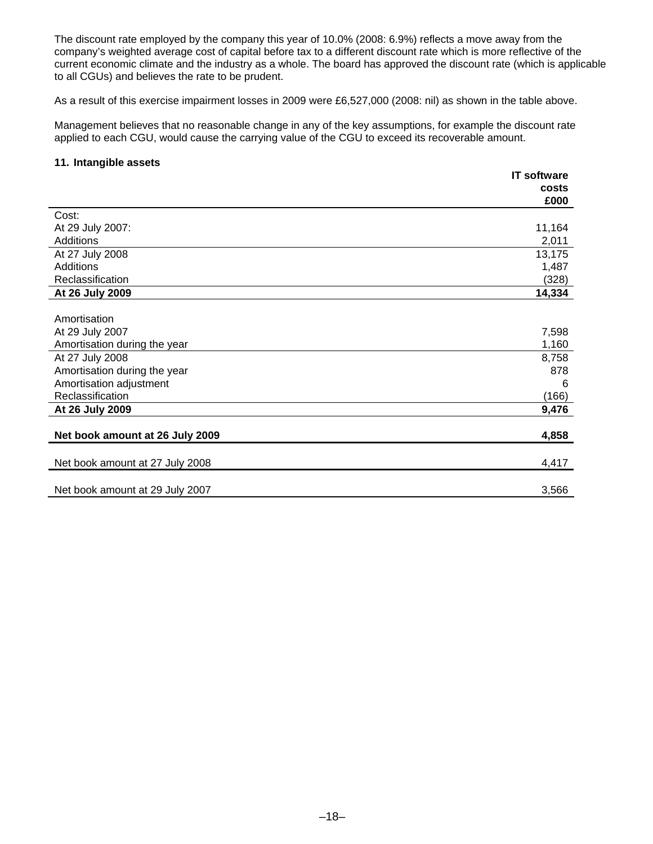The discount rate employed by the company this year of 10.0% (2008: 6.9%) reflects a move away from the company's weighted average cost of capital before tax to a different discount rate which is more reflective of the current economic climate and the industry as a whole. The board has approved the discount rate (which is applicable to all CGUs) and believes the rate to be prudent.

As a result of this exercise impairment losses in 2009 were £6,527,000 (2008: nil) as shown in the table above.

Management believes that no reasonable change in any of the key assumptions, for example the discount rate applied to each CGU, would cause the carrying value of the CGU to exceed its recoverable amount.

### **11. Intangible assets**

|                                 | <b>IT software</b> |
|---------------------------------|--------------------|
|                                 | costs              |
|                                 | £000               |
| Cost:                           |                    |
| At 29 July 2007:                | 11,164             |
| Additions                       | 2,011              |
| At 27 July 2008                 | 13,175             |
| Additions                       | 1,487              |
| Reclassification                | (328)              |
| At 26 July 2009                 | 14,334             |
|                                 |                    |
| Amortisation                    |                    |
| At 29 July 2007                 | 7,598              |
| Amortisation during the year    | 1,160              |
| At 27 July 2008                 | 8,758              |
| Amortisation during the year    | 878                |
| Amortisation adjustment         | 6                  |
| Reclassification                | (166)              |
| At 26 July 2009                 | 9,476              |
|                                 |                    |
| Net book amount at 26 July 2009 | 4,858              |
|                                 |                    |
| Net book amount at 27 July 2008 | 4,417              |
|                                 |                    |
| Net book amount at 29 July 2007 | 3,566              |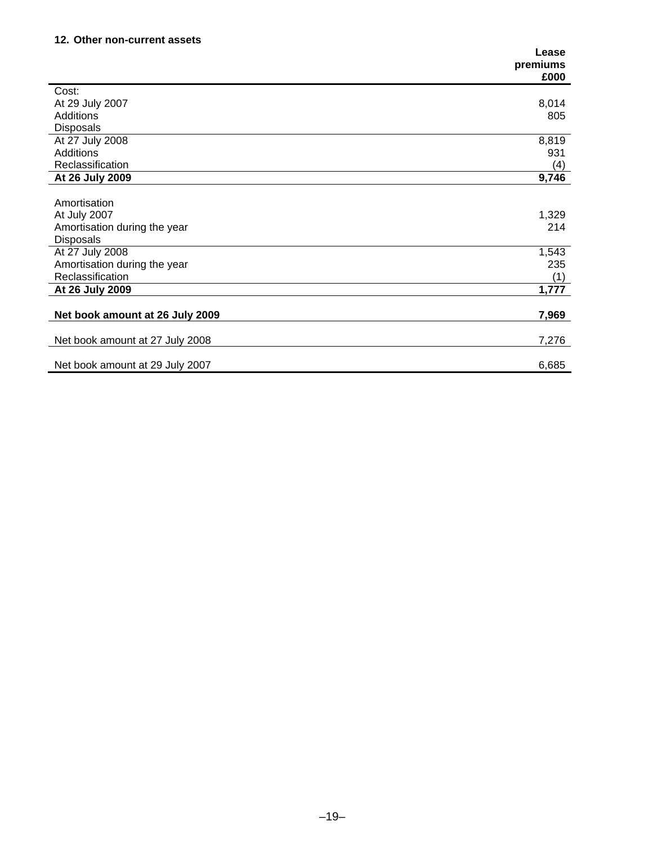# **12. Other non-current assets**

|                                 | Lease    |
|---------------------------------|----------|
|                                 | premiums |
|                                 | £000     |
| Cost:                           |          |
| At 29 July 2007                 | 8,014    |
| <b>Additions</b>                | 805      |
| <b>Disposals</b>                |          |
| At 27 July 2008                 | 8,819    |
| Additions                       | 931      |
| Reclassification                | (4)      |
| At 26 July 2009                 | 9,746    |
|                                 |          |
| Amortisation                    |          |
| At July 2007                    | 1,329    |
| Amortisation during the year    | 214      |
| <b>Disposals</b>                |          |
| At 27 July 2008                 | 1,543    |
| Amortisation during the year    | 235      |
| Reclassification                | (1)      |
| At 26 July 2009                 | 1,777    |
|                                 |          |
| Net book amount at 26 July 2009 | 7,969    |
|                                 |          |
| Net book amount at 27 July 2008 | 7,276    |
|                                 |          |
| Net book amount at 29 July 2007 | 6,685    |